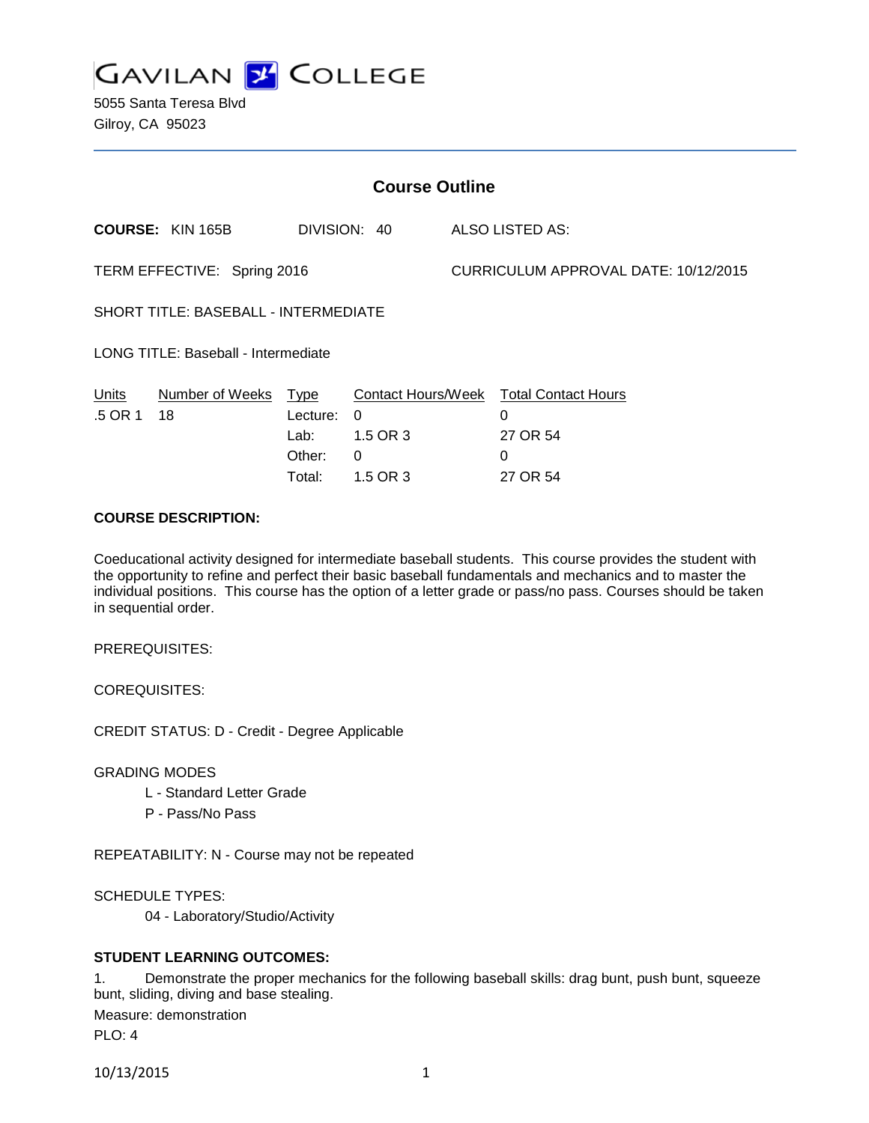

5055 Santa Teresa Blvd Gilroy, CA 95023

| <b>Course Outline</b>                       |                         |          |                           |                                      |                            |
|---------------------------------------------|-------------------------|----------|---------------------------|--------------------------------------|----------------------------|
|                                             | <b>COURSE: KIN 165B</b> |          | DIVISION: 40              |                                      | ALSO LISTED AS:            |
| TERM EFFECTIVE: Spring 2016                 |                         |          |                           | CURRICULUM APPROVAL DATE: 10/12/2015 |                            |
| <b>SHORT TITLE: BASEBALL - INTERMEDIATE</b> |                         |          |                           |                                      |                            |
| <b>LONG TITLE: Baseball - Intermediate</b>  |                         |          |                           |                                      |                            |
| <b>Units</b>                                | Number of Weeks         | Type     | <b>Contact Hours/Week</b> |                                      | <b>Total Contact Hours</b> |
| .5 OR 1                                     | 18                      | Lecture: | 0                         |                                      | 0                          |
|                                             |                         | Lab:     | 1.5 OR 3                  |                                      | 27 OR 54                   |
|                                             |                         | Other:   | 0                         |                                      | $\Omega$                   |
|                                             |                         | Total:   | 1.5 OR 3                  |                                      | 27 OR 54                   |

# **COURSE DESCRIPTION:**

Coeducational activity designed for intermediate baseball students. This course provides the student with the opportunity to refine and perfect their basic baseball fundamentals and mechanics and to master the individual positions. This course has the option of a letter grade or pass/no pass. Courses should be taken in sequential order.

PREREQUISITES:

COREQUISITES:

CREDIT STATUS: D - Credit - Degree Applicable

GRADING MODES

- L Standard Letter Grade
- P Pass/No Pass

REPEATABILITY: N - Course may not be repeated

SCHEDULE TYPES:

04 - Laboratory/Studio/Activity

# **STUDENT LEARNING OUTCOMES:**

1. Demonstrate the proper mechanics for the following baseball skills: drag bunt, push bunt, squeeze bunt, sliding, diving and base stealing. Measure: demonstration PLO: 4

10/13/2015 1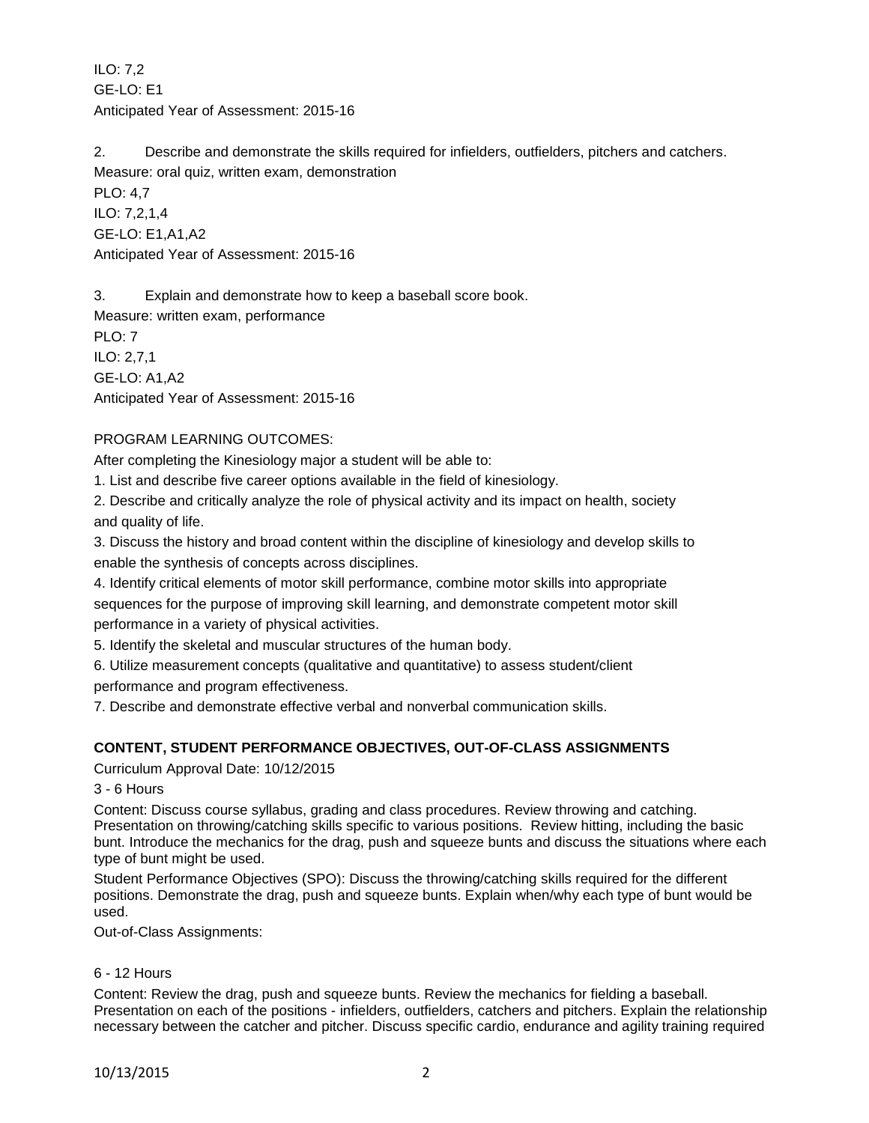ILO: 7,2 GE-LO: E1 Anticipated Year of Assessment: 2015-16

2. Describe and demonstrate the skills required for infielders, outfielders, pitchers and catchers. Measure: oral quiz, written exam, demonstration

PLO: 4,7 ILO: 7,2,1,4 GE-LO: E1,A1,A2 Anticipated Year of Assessment: 2015-16

3. Explain and demonstrate how to keep a baseball score book.

Measure: written exam, performance PLO: 7 ILO: 2,7,1 GE-LO: A1,A2 Anticipated Year of Assessment: 2015-16

# PROGRAM LEARNING OUTCOMES:

After completing the Kinesiology major a student will be able to:

1. List and describe five career options available in the field of kinesiology.

2. Describe and critically analyze the role of physical activity and its impact on health, society and quality of life.

3. Discuss the history and broad content within the discipline of kinesiology and develop skills to enable the synthesis of concepts across disciplines.

4. Identify critical elements of motor skill performance, combine motor skills into appropriate sequences for the purpose of improving skill learning, and demonstrate competent motor skill performance in a variety of physical activities.

5. Identify the skeletal and muscular structures of the human body.

6. Utilize measurement concepts (qualitative and quantitative) to assess student/client performance and program effectiveness.

7. Describe and demonstrate effective verbal and nonverbal communication skills.

# **CONTENT, STUDENT PERFORMANCE OBJECTIVES, OUT-OF-CLASS ASSIGNMENTS**

Curriculum Approval Date: 10/12/2015

3 - 6 Hours

Content: Discuss course syllabus, grading and class procedures. Review throwing and catching. Presentation on throwing/catching skills specific to various positions. Review hitting, including the basic bunt. Introduce the mechanics for the drag, push and squeeze bunts and discuss the situations where each type of bunt might be used.

Student Performance Objectives (SPO): Discuss the throwing/catching skills required for the different positions. Demonstrate the drag, push and squeeze bunts. Explain when/why each type of bunt would be used.

Out-of-Class Assignments:

# 6 - 12 Hours

Content: Review the drag, push and squeeze bunts. Review the mechanics for fielding a baseball. Presentation on each of the positions - infielders, outfielders, catchers and pitchers. Explain the relationship necessary between the catcher and pitcher. Discuss specific cardio, endurance and agility training required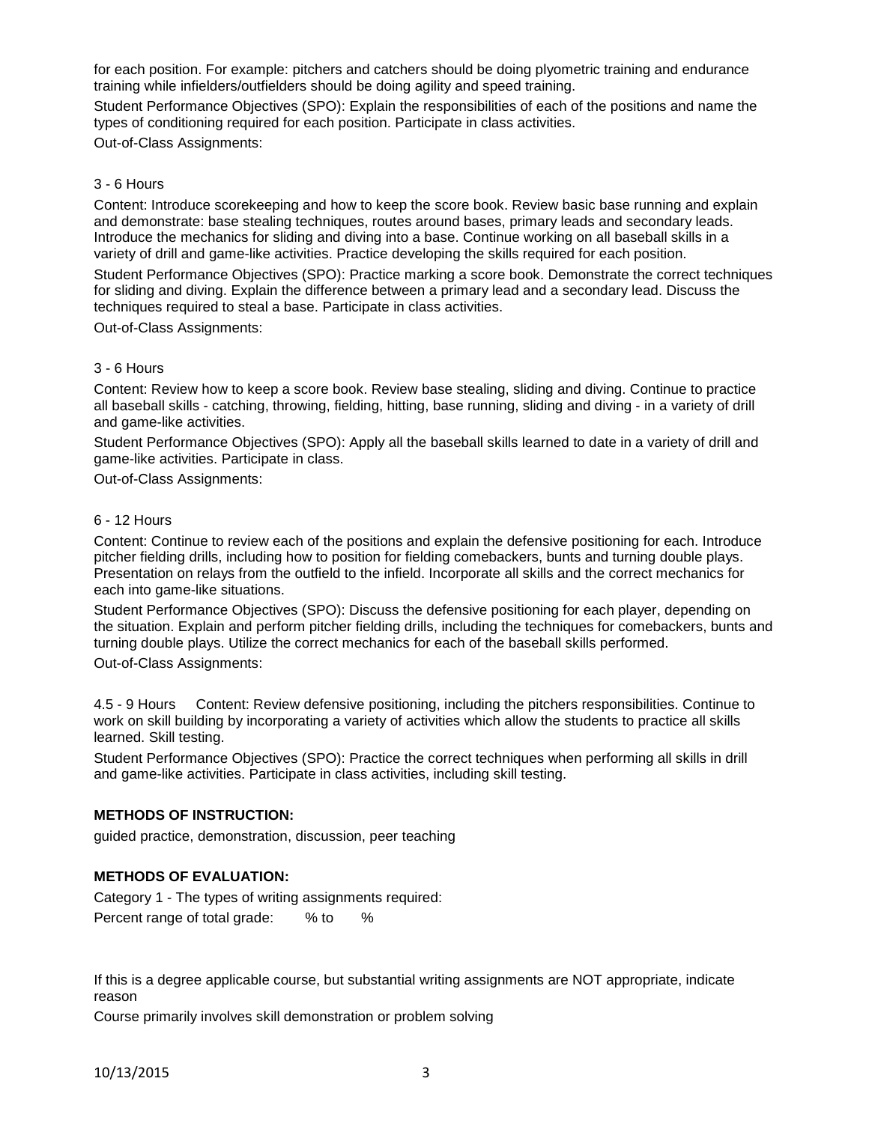for each position. For example: pitchers and catchers should be doing plyometric training and endurance training while infielders/outfielders should be doing agility and speed training.

Student Performance Objectives (SPO): Explain the responsibilities of each of the positions and name the types of conditioning required for each position. Participate in class activities.

Out-of-Class Assignments:

### 3 - 6 Hours

Content: Introduce scorekeeping and how to keep the score book. Review basic base running and explain and demonstrate: base stealing techniques, routes around bases, primary leads and secondary leads. Introduce the mechanics for sliding and diving into a base. Continue working on all baseball skills in a variety of drill and game-like activities. Practice developing the skills required for each position.

Student Performance Objectives (SPO): Practice marking a score book. Demonstrate the correct techniques for sliding and diving. Explain the difference between a primary lead and a secondary lead. Discuss the techniques required to steal a base. Participate in class activities.

Out-of-Class Assignments:

### 3 - 6 Hours

Content: Review how to keep a score book. Review base stealing, sliding and diving. Continue to practice all baseball skills - catching, throwing, fielding, hitting, base running, sliding and diving - in a variety of drill and game-like activities.

Student Performance Objectives (SPO): Apply all the baseball skills learned to date in a variety of drill and game-like activities. Participate in class.

Out-of-Class Assignments:

#### 6 - 12 Hours

Content: Continue to review each of the positions and explain the defensive positioning for each. Introduce pitcher fielding drills, including how to position for fielding comebackers, bunts and turning double plays. Presentation on relays from the outfield to the infield. Incorporate all skills and the correct mechanics for each into game-like situations.

Student Performance Objectives (SPO): Discuss the defensive positioning for each player, depending on the situation. Explain and perform pitcher fielding drills, including the techniques for comebackers, bunts and turning double plays. Utilize the correct mechanics for each of the baseball skills performed.

Out-of-Class Assignments:

4.5 - 9 Hours Content: Review defensive positioning, including the pitchers responsibilities. Continue to work on skill building by incorporating a variety of activities which allow the students to practice all skills learned. Skill testing.

Student Performance Objectives (SPO): Practice the correct techniques when performing all skills in drill and game-like activities. Participate in class activities, including skill testing.

# **METHODS OF INSTRUCTION:**

guided practice, demonstration, discussion, peer teaching

# **METHODS OF EVALUATION:**

Category 1 - The types of writing assignments required: Percent range of total grade: % to %

If this is a degree applicable course, but substantial writing assignments are NOT appropriate, indicate reason

Course primarily involves skill demonstration or problem solving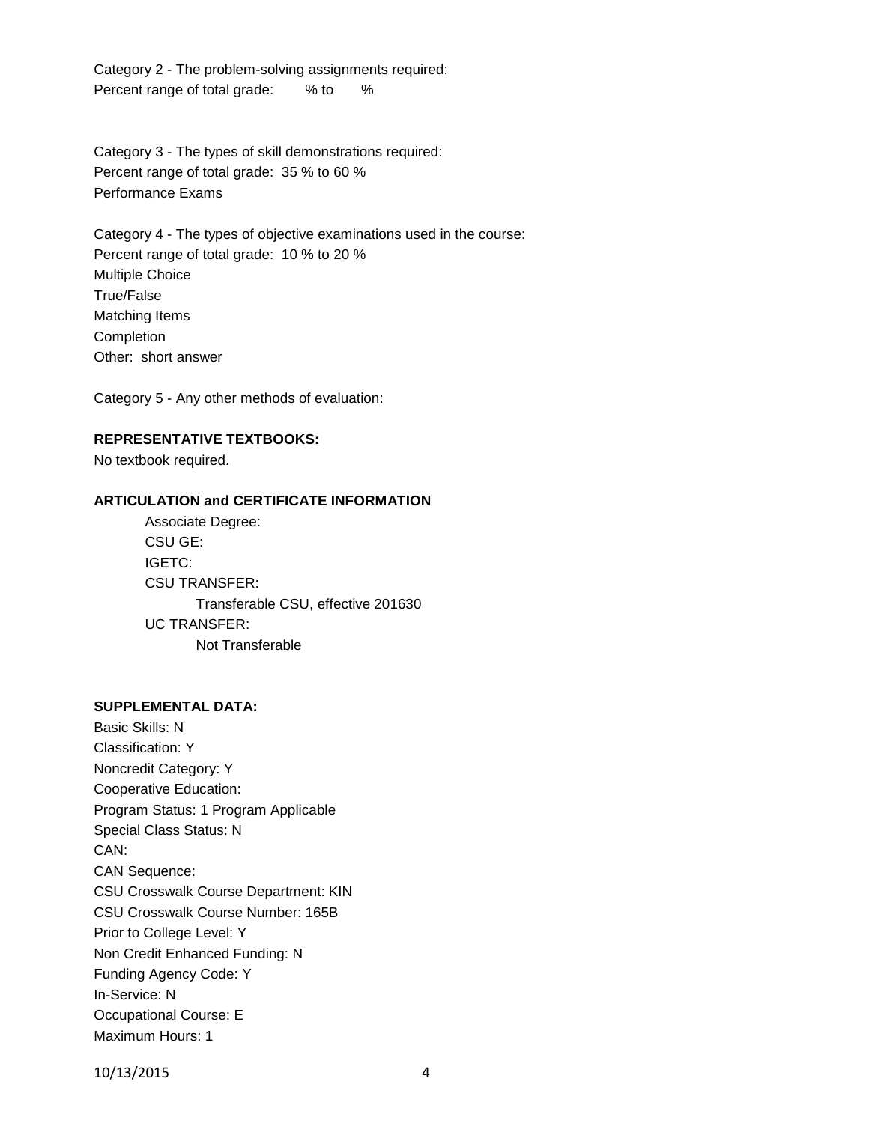Category 2 - The problem-solving assignments required: Percent range of total grade: % to %

Category 3 - The types of skill demonstrations required: Percent range of total grade: 35 % to 60 % Performance Exams

Category 4 - The types of objective examinations used in the course: Percent range of total grade: 10 % to 20 % Multiple Choice True/False Matching Items **Completion** Other: short answer

Category 5 - Any other methods of evaluation:

### **REPRESENTATIVE TEXTBOOKS:**

No textbook required.

### **ARTICULATION and CERTIFICATE INFORMATION**

Associate Degree: CSU GE: IGETC: CSU TRANSFER: Transferable CSU, effective 201630 UC TRANSFER: Not Transferable

# **SUPPLEMENTAL DATA:**

Basic Skills: N Classification: Y Noncredit Category: Y Cooperative Education: Program Status: 1 Program Applicable Special Class Status: N CAN: CAN Sequence: CSU Crosswalk Course Department: KIN CSU Crosswalk Course Number: 165B Prior to College Level: Y Non Credit Enhanced Funding: N Funding Agency Code: Y In-Service: N Occupational Course: E Maximum Hours: 1

10/13/2015 4